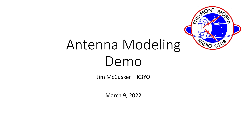

# Antenna Modeling Demo

Jim McCusker – K3YO

March 9, 2022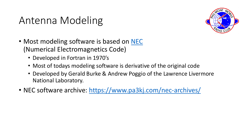#### Antenna Modeling



- Most modeling software is based on [NEC](https://en.wikipedia.org/wiki/Numerical_Electromagnetics_Code) (Numerical Electromagnetics Code)
	- Developed in Fortran in 1970's
	- Most of todays modeling software is derivative of the original code
	- Developed by Gerald Burke & Andrew Poggio of the Lawrence Livermore National Laboratory.
- NEC software archive: <https://www.pa3kj.com/nec-archives/>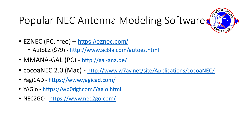## Popular NEC Antenna Modeling Softwared

- EZNEC (PC, free) <https://eznec.com/>
	- AutoEZ (\$79) <http://www.ac6la.com/autoez.html>
- MMANA-GAL (PC) <http://gal-ana.de/>
- cocoaNEC 2.0 (Mac) <http://www.w7ay.net/site/Applications/cocoaNEC/>
- YagiCAD <https://www.yagicad.com/>
- YAGio <https://wb0dgf.com/Yagio.html>
- NEC2GO <https://www.nec2go.com/>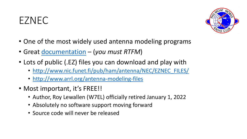#### EZNEC



- One of the most widely used antenna modeling programs
- Great [documentation](http://eznec.com/misc/EZNEC_Printable_Manual/6.0/EZW60_User_Manual.pdf) (*you must RTFM*)
- Lots of public (.EZ) files you can download and play with
	- [http://www.nic.funet.fi/pub/ham/antenna/NEC/EZNEC\\_FILES/](http://www.nic.funet.fi/pub/ham/antenna/NEC/EZNEC_FILES/)
	- <http://www.arrl.org/antenna-modeling-files>
- Most important, it's FREE!!
	- Author, Roy Lewallen (W7EL) officially retired January 1, 2022
	- Absolutely no software support moving forward
	- Source code will never be released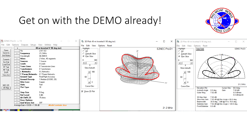#### Get on with the DEMO already!



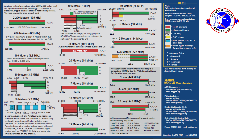Amateurs wishing to operate on either 2,200 or 630 meters must first register with the Utilities Technology Council online at https://utc.org/plc-database-amateur-notification-process/. You need only register once for each band.



1 W EIRP maximum 135.7 kHz 137 8 kHz

#### 630 Meters (472 kHz)

5 W EIRP maximum, except in Alaska within 496 miles of Russia where the power limit is 1 W EIRP.



160 Meters (1.8 MHz) Avoid interference to radiolocation operations from 1,900 to 2,000 MHz





General, Advanced, and Amateur Extra licensees may operate on these five channels on a secondary basis with a maximum effective radiated power (ERP) of 100 W PEP relative to a half-wave dipole. Permitted operating modes include upper sideband voice (USB), CW, RTTY, PSK31 and other digital modes such as PACTOR III. Only one signal at a time is permitted on any channel.





24.0-24.25 GHz

47.0-47.2 GHz

134-141 GHz

241-250 GHz

All above 275 GHz



**We're At Your Service** 

860-594-0200 (Fax 860-594-0259)

Toll-Free 1-888-277-5289 (860-594-0355)

Toll-Free 1-888-277-5289 (860-594-0338)

**Getting Started in Amateur Radio:** Toll-Free 1-800-326-3942 (860-594-0355)

Exams: 860-594-0300 email: vec@arrl.org